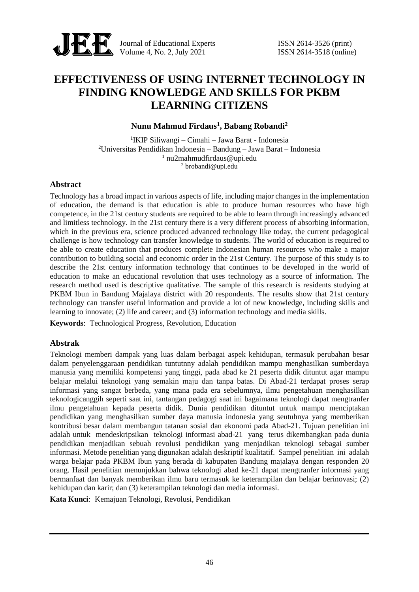

Journal of Educational Experts ISSN 2614-3526 (print) Volume 4, No. 2, July 2021 **ISSN** 2614-3518 (online)

# **EFFECTIVENESS OF USING INTERNET TECHNOLOGY IN FINDING KNOWLEDGE AND SKILLS FOR PKBM LEARNING CITIZENS**

## **Nunu Mahmud Firdaus<sup>1</sup> , Babang Robandi<sup>2</sup>**

IKIP Siliwangi – Cimahi – Jawa Barat - Indonesia Universitas Pendidikan Indonesia – Bandung – Jawa Barat – Indonesia nu2mahmudfirdaus@upi.edu  $^{2}$  brobandi@upi.edu

### **Abstract**

Technology has a broad impact in various aspects of life, including major changes in the implementation of education, the demand is that education is able to produce human resources who have high competence, in the 21st century students are required to be able to learn through increasingly advanced and limitless technology. In the 21st century there is a very different process of absorbing information, which in the previous era, science produced advanced technology like today, the current pedagogical challenge is how technology can transfer knowledge to students. The world of education is required to be able to create education that produces complete Indonesian human resources who make a major contribution to building social and economic order in the 21st Century. The purpose of this study is to describe the 21st century information technology that continues to be developed in the world of education to make an educational revolution that uses technology as a source of information. The research method used is descriptive qualitative. The sample of this research is residents studying at PKBM Ibun in Bandung Majalaya district with 20 respondents. The results show that 21st century technology can transfer useful information and provide a lot of new knowledge, including skills and learning to innovate; (2) life and career; and (3) information technology and media skills.

**Keywords**: Technological Progress, Revolution, Education

### **Abstrak**

Teknologi memberi dampak yang luas dalam berbagai aspek kehidupan, termasuk perubahan besar dalam penyelenggaraan pendidikan tuntutnny adalah pendidikan mampu menghasilkan sumberdaya manusia yang memiliki kompetensi yang tinggi, pada abad ke 21 peserta didik dituntut agar mampu belajar melalui teknologi yang semakin maju dan tanpa batas. Di Abad-21 terdapat proses serap informasi yang sangat berbeda, yang mana pada era sebelumnya, ilmu pengetahuan menghasilkan teknologicanggih seperti saat ini, tantangan pedagogi saat ini bagaimana teknologi dapat mengtranfer ilmu pengetahuan kepada peserta didik. Dunia pendidikan dituntut untuk mampu menciptakan pendidikan yang menghasilkan sumber daya manusia indonesia yang seutuhnya yang memberikan kontribusi besar dalam membangun tatanan sosial dan ekonomi pada Abad-21. Tujuan penelitian ini adalah untuk mendeskripsikan teknologi informasi abad-21 yang terus dikembangkan pada dunia pendidikan menjadikan sebuah revolusi pendidikan yang menjadikan teknologi sebagai sumber informasi. Metode penelitian yang digunakan adalah deskriptif kualitatif. Sampel penelitian ini adalah warga belajar pada PKBM Ibun yang berada di kabupaten Bandung majalaya dengan responden 20 orang. Hasil penelitian menunjukkan bahwa teknologi abad ke-21 dapat mengtranfer informasi yang bermanfaat dan banyak memberikan ilmu baru termasuk ke keterampilan dan belajar berinovasi; (2) kehidupan dan karir; dan (3) keterampilan teknologi dan media informasi.

**Kata Kunci**: Kemajuan Teknologi, Revolusi, Pendidikan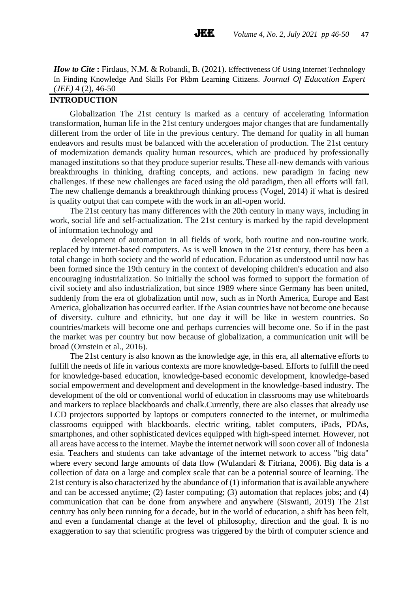*How to Cite* : Firdaus, N.M. & Robandi, B. (2021). Effectiveness Of Using Internet Technology In Finding Knowledge And Skills For Pkbm Learning Citizens. *Journal Of Education Expert (JEE)* 4 (2), 46-50

### **INTRODUCTION**

Globalization The 21st century is marked as a century of accelerating information transformation, human life in the 21st century undergoes major changes that are fundamentally different from the order of life in the previous century. The demand for quality in all human endeavors and results must be balanced with the acceleration of production. The 21st century of modernization demands quality human resources, which are produced by professionally managed institutions so that they produce superior results. These all-new demands with various breakthroughs in thinking, drafting concepts, and actions. new paradigm in facing new challenges. if these new challenges are faced using the old paradigm, then all efforts will fail. The new challenge demands a breakthrough thinking process (Vogel, 2014) if what is desired is quality output that can compete with the work in an all-open world.

The 21st century has many differences with the 20th century in many ways, including in work, social life and self-actualization. The 21st century is marked by the rapid development of information technology and

development of automation in all fields of work, both routine and non-routine work. replaced by internet-based computers. As is well known in the 21st century, there has been a total change in both society and the world of education. Education as understood until now has been formed since the 19th century in the context of developing children's education and also encouraging industrialization. So initially the school was formed to support the formation of civil society and also industrialization, but since 1989 where since Germany has been united, suddenly from the era of globalization until now, such as in North America, Europe and East America, globalization has occurred earlier. If the Asian countries have not become one because of diversity. culture and ethnicity, but one day it will be like in western countries. So countries/markets will become one and perhaps currencies will become one. So if in the past the market was per country but now because of globalization, a communication unit will be broad (Ornstein et al., 2016).

The 21st century is also known as the knowledge age, in this era, all alternative efforts to fulfill the needs of life in various contexts are more knowledge-based. Efforts to fulfill the need for knowledge-based education, knowledge-based economic development, knowledge-based social empowerment and development and development in the knowledge-based industry. The development of the old or conventional world of education in classrooms may use whiteboards and markers to replace blackboards and chalk.Currently, there are also classes that already use LCD projectors supported by laptops or computers connected to the internet, or multimedia classrooms equipped with blackboards. electric writing, tablet computers, iPads, PDAs, smartphones, and other sophisticated devices equipped with high-speed internet. However, not all areas have access to the internet. Maybe the internet network will soon cover all of Indonesia esia. Teachers and students can take advantage of the internet network to access "big data" where every second large amounts of data flow (Wulandari & Fitriana, 2006). Big data is a collection of data on a large and complex scale that can be a potential source of learning. The 21st century is also characterized by the abundance of (1) information that is available anywhere and can be accessed anytime; (2) faster computing; (3) automation that replaces jobs; and (4) communication that can be done from anywhere and anywhere (Siswanti, 2019) The 21st century has only been running for a decade, but in the world of education, a shift has been felt, and even a fundamental change at the level of philosophy, direction and the goal. It is no exaggeration to say that scientific progress was triggered by the birth of computer science and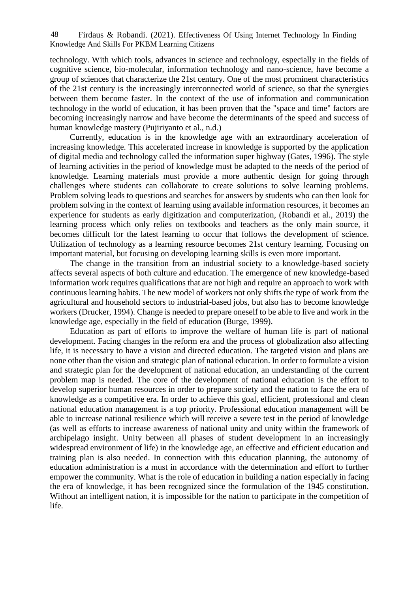Firdaus & Robandi. (2021). Effectiveness Of Using Internet Technology In Finding 48 Knowledge And Skills For PKBM Learning Citizens

technology. With which tools, advances in science and technology, especially in the fields of cognitive science, bio-molecular, information technology and nano-science, have become a group of sciences that characterize the 21st century. One of the most prominent characteristics of the 21st century is the increasingly interconnected world of science, so that the synergies between them become faster. In the context of the use of information and communication technology in the world of education, it has been proven that the "space and time" factors are becoming increasingly narrow and have become the determinants of the speed and success of human knowledge mastery (Pujiriyanto et al., n.d.)

Currently, education is in the knowledge age with an extraordinary acceleration of increasing knowledge. This accelerated increase in knowledge is supported by the application of digital media and technology called the information super highway (Gates, 1996). The style of learning activities in the period of knowledge must be adapted to the needs of the period of knowledge. Learning materials must provide a more authentic design for going through challenges where students can collaborate to create solutions to solve learning problems. Problem solving leads to questions and searches for answers by students who can then look for problem solving in the context of learning using available information resources, it becomes an experience for students as early digitization and computerization, (Robandi et al., 2019) the learning process which only relies on textbooks and teachers as the only main source, it becomes difficult for the latest learning to occur that follows the development of science. Utilization of technology as a learning resource becomes 21st century learning. Focusing on important material, but focusing on developing learning skills is even more important.

The change in the transition from an industrial society to a knowledge-based society affects several aspects of both culture and education. The emergence of new knowledge-based information work requires qualifications that are not high and require an approach to work with continuous learning habits. The new model of workers not only shifts the type of work from the agricultural and household sectors to industrial-based jobs, but also has to become knowledge workers (Drucker, 1994). Change is needed to prepare oneself to be able to live and work in the knowledge age, especially in the field of education (Burge, 1999).

Education as part of efforts to improve the welfare of human life is part of national development. Facing changes in the reform era and the process of globalization also affecting life, it is necessary to have a vision and directed education. The targeted vision and plans are none other than the vision and strategic plan of national education. In order to formulate a vision and strategic plan for the development of national education, an understanding of the current problem map is needed. The core of the development of national education is the effort to develop superior human resources in order to prepare society and the nation to face the era of knowledge as a competitive era. In order to achieve this goal, efficient, professional and clean national education management is a top priority. Professional education management will be able to increase national resilience which will receive a severe test in the period of knowledge (as well as efforts to increase awareness of national unity and unity within the framework of archipelago insight. Unity between all phases of student development in an increasingly widespread environment of life) in the knowledge age, an effective and efficient education and training plan is also needed. In connection with this education planning, the autonomy of education administration is a must in accordance with the determination and effort to further empower the community. What is the role of education in building a nation especially in facing the era of knowledge, it has been recognized since the formulation of the 1945 constitution. Without an intelligent nation, it is impossible for the nation to participate in the competition of life.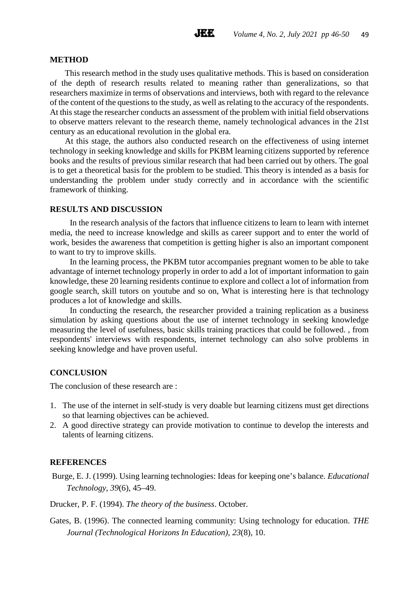#### **METHOD**

This research method in the study uses qualitative methods. This is based on consideration of the depth of research results related to meaning rather than generalizations, so that researchers maximize in terms of observations and interviews, both with regard to the relevance of the content of the questions to the study, as well as relating to the accuracy of the respondents. At this stage the researcher conducts an assessment of the problem with initial field observations to observe matters relevant to the research theme, namely technological advances in the 21st century as an educational revolution in the global era.

At this stage, the authors also conducted research on the effectiveness of using internet technology in seeking knowledge and skills for PKBM learning citizens supported by reference books and the results of previous similar research that had been carried out by others. The goal is to get a theoretical basis for the problem to be studied. This theory is intended as a basis for understanding the problem under study correctly and in accordance with the scientific framework of thinking.

#### **RESULTS AND DISCUSSION**

In the research analysis of the factors that influence citizens to learn to learn with internet media, the need to increase knowledge and skills as career support and to enter the world of work, besides the awareness that competition is getting higher is also an important component to want to try to improve skills.

In the learning process, the PKBM tutor accompanies pregnant women to be able to take advantage of internet technology properly in order to add a lot of important information to gain knowledge, these 20 learning residents continue to explore and collect a lot of information from google search, skill tutors on youtube and so on, What is interesting here is that technology produces a lot of knowledge and skills.

In conducting the research, the researcher provided a training replication as a business simulation by asking questions about the use of internet technology in seeking knowledge measuring the level of usefulness, basic skills training practices that could be followed. , from respondents' interviews with respondents, internet technology can also solve problems in seeking knowledge and have proven useful.

### **CONCLUSION**

The conclusion of these research are :

- 1. The use of the internet in self-study is very doable but learning citizens must get directions so that learning objectives can be achieved.
- 2. A good directive strategy can provide motivation to continue to develop the interests and talents of learning citizens.

### **REFERENCES**

Burge, E. J. (1999). Using learning technologies: Ideas for keeping one's balance. *Educational Technology*, *39*(6), 45–49.

Drucker, P. F. (1994). *The theory of the business*. October.

Gates, B. (1996). The connected learning community: Using technology for education. *THE Journal (Technological Horizons In Education)*, *23*(8), 10.